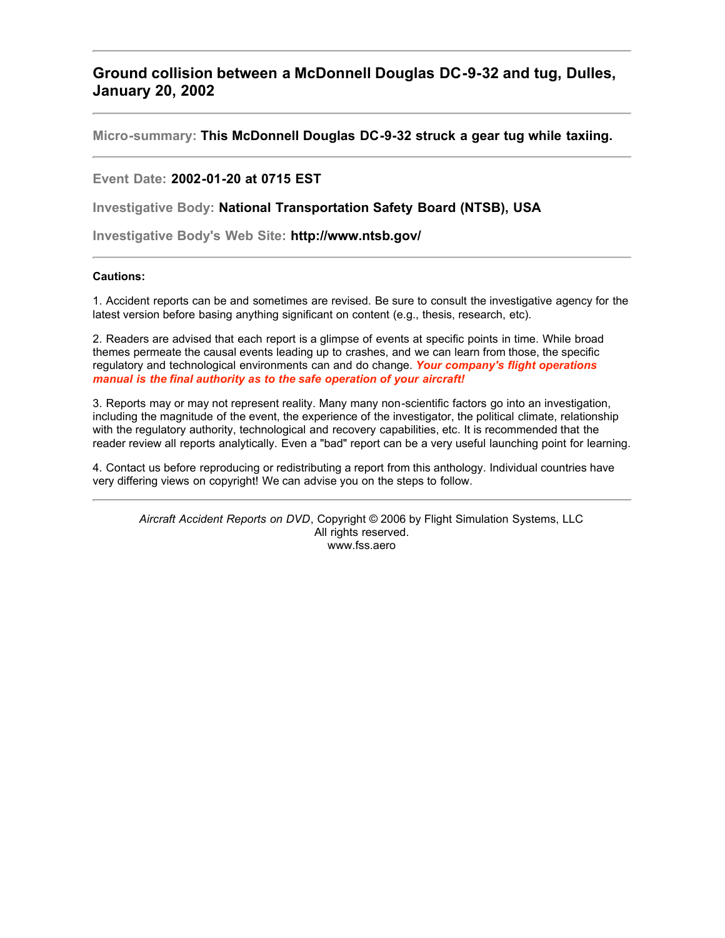## **Ground collision between a McDonnell Douglas DC-9-32 and tug, Dulles, January 20, 2002**

**Micro-summary: This McDonnell Douglas DC-9-32 struck a gear tug while taxiing.**

**Event Date: 2002-01-20 at 0715 EST**

**Investigative Body: National Transportation Safety Board (NTSB), USA**

**Investigative Body's Web Site: http://www.ntsb.gov/**

## **Cautions:**

1. Accident reports can be and sometimes are revised. Be sure to consult the investigative agency for the latest version before basing anything significant on content (e.g., thesis, research, etc).

2. Readers are advised that each report is a glimpse of events at specific points in time. While broad themes permeate the causal events leading up to crashes, and we can learn from those, the specific regulatory and technological environments can and do change. *Your company's flight operations manual is the final authority as to the safe operation of your aircraft!*

3. Reports may or may not represent reality. Many many non-scientific factors go into an investigation, including the magnitude of the event, the experience of the investigator, the political climate, relationship with the regulatory authority, technological and recovery capabilities, etc. It is recommended that the reader review all reports analytically. Even a "bad" report can be a very useful launching point for learning.

4. Contact us before reproducing or redistributing a report from this anthology. Individual countries have very differing views on copyright! We can advise you on the steps to follow.

*Aircraft Accident Reports on DVD*, Copyright © 2006 by Flight Simulation Systems, LLC All rights reserved. www.fss.aero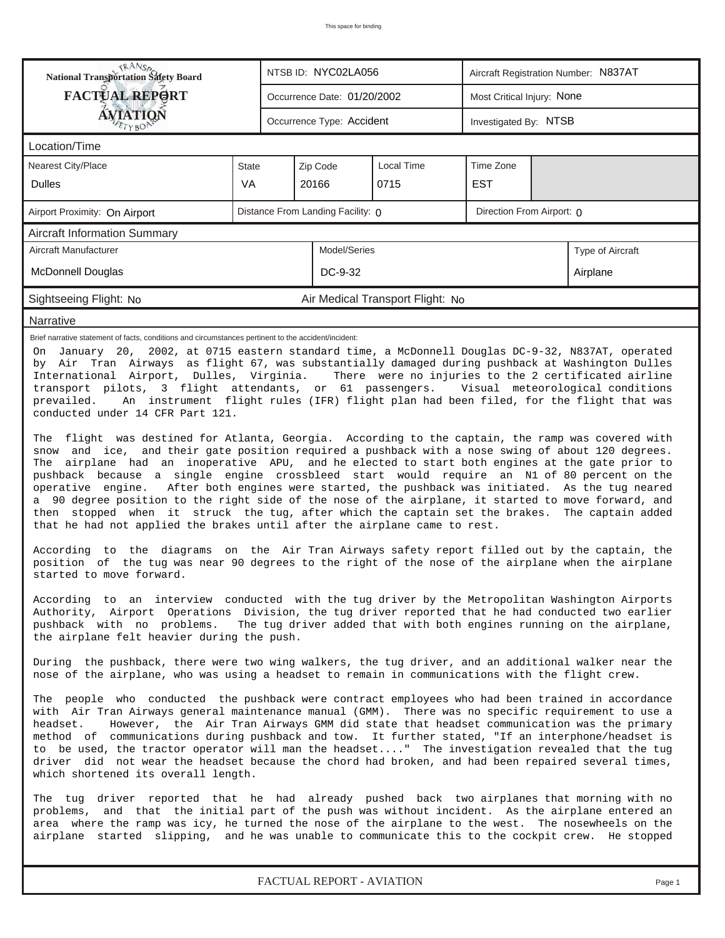| <b>National Transportation Safety Board</b><br>NTSB ID: NYC02LA056<br>Aircraft Registration Number: N837AT                                                                                                                                                                                                                                                                                                                                                                                                                                                                                                                                                                                                                                                                                                                                                                                                                                                                                                                                                                                                                                                                                                                                         |                                                                                                                                                                                                                                                                                                                                                                                                          |                                                           |                                     |  |                                  |  |  |  |  |  |  |
|----------------------------------------------------------------------------------------------------------------------------------------------------------------------------------------------------------------------------------------------------------------------------------------------------------------------------------------------------------------------------------------------------------------------------------------------------------------------------------------------------------------------------------------------------------------------------------------------------------------------------------------------------------------------------------------------------------------------------------------------------------------------------------------------------------------------------------------------------------------------------------------------------------------------------------------------------------------------------------------------------------------------------------------------------------------------------------------------------------------------------------------------------------------------------------------------------------------------------------------------------|----------------------------------------------------------------------------------------------------------------------------------------------------------------------------------------------------------------------------------------------------------------------------------------------------------------------------------------------------------------------------------------------------------|-----------------------------------------------------------|-------------------------------------|--|----------------------------------|--|--|--|--|--|--|
| <b>FACTUAL REPORT</b>                                                                                                                                                                                                                                                                                                                                                                                                                                                                                                                                                                                                                                                                                                                                                                                                                                                                                                                                                                                                                                                                                                                                                                                                                              |                                                                                                                                                                                                                                                                                                                                                                                                          | Most Critical Injury: None<br>Occurrence Date: 01/20/2002 |                                     |  |                                  |  |  |  |  |  |  |
| <b>ÁVIATION</b><br>Occurrence Type: Accident<br>Investigated By: NTSB<br>$E$ TYBOP                                                                                                                                                                                                                                                                                                                                                                                                                                                                                                                                                                                                                                                                                                                                                                                                                                                                                                                                                                                                                                                                                                                                                                 |                                                                                                                                                                                                                                                                                                                                                                                                          |                                                           |                                     |  |                                  |  |  |  |  |  |  |
| Location/Time                                                                                                                                                                                                                                                                                                                                                                                                                                                                                                                                                                                                                                                                                                                                                                                                                                                                                                                                                                                                                                                                                                                                                                                                                                      |                                                                                                                                                                                                                                                                                                                                                                                                          |                                                           |                                     |  |                                  |  |  |  |  |  |  |
| Nearest City/Place                                                                                                                                                                                                                                                                                                                                                                                                                                                                                                                                                                                                                                                                                                                                                                                                                                                                                                                                                                                                                                                                                                                                                                                                                                 | <b>State</b>                                                                                                                                                                                                                                                                                                                                                                                             |                                                           | Local Time<br>Zip Code<br>Time Zone |  |                                  |  |  |  |  |  |  |
| <b>Dulles</b>                                                                                                                                                                                                                                                                                                                                                                                                                                                                                                                                                                                                                                                                                                                                                                                                                                                                                                                                                                                                                                                                                                                                                                                                                                      | <b>VA</b>                                                                                                                                                                                                                                                                                                                                                                                                |                                                           | 20166<br>0715<br><b>EST</b>         |  |                                  |  |  |  |  |  |  |
| Distance From Landing Facility: 0<br>Direction From Airport: 0<br>Airport Proximity: On Airport                                                                                                                                                                                                                                                                                                                                                                                                                                                                                                                                                                                                                                                                                                                                                                                                                                                                                                                                                                                                                                                                                                                                                    |                                                                                                                                                                                                                                                                                                                                                                                                          |                                                           |                                     |  |                                  |  |  |  |  |  |  |
| <b>Aircraft Information Summary</b>                                                                                                                                                                                                                                                                                                                                                                                                                                                                                                                                                                                                                                                                                                                                                                                                                                                                                                                                                                                                                                                                                                                                                                                                                |                                                                                                                                                                                                                                                                                                                                                                                                          |                                                           |                                     |  |                                  |  |  |  |  |  |  |
| Model/Series<br>Aircraft Manufacturer<br>Type of Aircraft                                                                                                                                                                                                                                                                                                                                                                                                                                                                                                                                                                                                                                                                                                                                                                                                                                                                                                                                                                                                                                                                                                                                                                                          |                                                                                                                                                                                                                                                                                                                                                                                                          |                                                           |                                     |  |                                  |  |  |  |  |  |  |
| <b>McDonnell Douglas</b><br>DC-9-32<br>Airplane                                                                                                                                                                                                                                                                                                                                                                                                                                                                                                                                                                                                                                                                                                                                                                                                                                                                                                                                                                                                                                                                                                                                                                                                    |                                                                                                                                                                                                                                                                                                                                                                                                          |                                                           |                                     |  |                                  |  |  |  |  |  |  |
| Sightseeing Flight: No                                                                                                                                                                                                                                                                                                                                                                                                                                                                                                                                                                                                                                                                                                                                                                                                                                                                                                                                                                                                                                                                                                                                                                                                                             |                                                                                                                                                                                                                                                                                                                                                                                                          |                                                           |                                     |  | Air Medical Transport Flight: No |  |  |  |  |  |  |
| Narrative                                                                                                                                                                                                                                                                                                                                                                                                                                                                                                                                                                                                                                                                                                                                                                                                                                                                                                                                                                                                                                                                                                                                                                                                                                          |                                                                                                                                                                                                                                                                                                                                                                                                          |                                                           |                                     |  |                                  |  |  |  |  |  |  |
| by Air Tran Airways as flight 67, was substantially damaged during pushback at Washington Dulles<br>International Airport, Dulles, Virginia.<br>There were no injuries to the 2 certificated airline<br>transport pilots, 3 flight attendants, or 61 passengers. Visual meteorological conditions<br>An instrument flight rules (IFR) flight plan had been filed, for the flight that was<br>prevailed.<br>conducted under 14 CFR Part 121.<br>The flight was destined for Atlanta, Georgia. According to the captain, the ramp was covered with<br>snow and ice, and their gate position required a pushback with a nose swing of about 120 degrees.<br>The airplane had an inoperative APU, and he elected to start both engines at the gate prior to<br>pushback because a single engine crossbleed start would require an N1 of 80 percent on the<br>operative engine.<br>After both engines were started, the pushback was initiated. As the tug neared<br>a 90 degree position to the right side of the nose of the airplane, it started to move forward, and<br>then stopped when it struck the tug, after which the captain set the brakes. The captain added<br>that he had not applied the brakes until after the airplane came to rest. |                                                                                                                                                                                                                                                                                                                                                                                                          |                                                           |                                     |  |                                  |  |  |  |  |  |  |
| According to the diagrams on the Air Tran Airways safety report filled out by the captain, the<br>position of the tug was near 90 degrees to the right of the nose of the airplane when the airplane<br>started to move forward.                                                                                                                                                                                                                                                                                                                                                                                                                                                                                                                                                                                                                                                                                                                                                                                                                                                                                                                                                                                                                   |                                                                                                                                                                                                                                                                                                                                                                                                          |                                                           |                                     |  |                                  |  |  |  |  |  |  |
| According to an interview conducted with the tug driver by the Metropolitan Washington Airports<br>Authority, Airport Operations Division, the tug driver reported that he had conducted two earlier<br>pushback with no problems. The tug driver added that with both engines running on the airplane,<br>the airplane felt heavier during the push.                                                                                                                                                                                                                                                                                                                                                                                                                                                                                                                                                                                                                                                                                                                                                                                                                                                                                              |                                                                                                                                                                                                                                                                                                                                                                                                          |                                                           |                                     |  |                                  |  |  |  |  |  |  |
| During the pushback, there were two wing walkers, the tug driver, and an additional walker near the<br>nose of the airplane, who was using a headset to remain in communications with the flight crew.                                                                                                                                                                                                                                                                                                                                                                                                                                                                                                                                                                                                                                                                                                                                                                                                                                                                                                                                                                                                                                             |                                                                                                                                                                                                                                                                                                                                                                                                          |                                                           |                                     |  |                                  |  |  |  |  |  |  |
| The people who conducted the pushback were contract employees who had been trained in accordance<br>with Air Tran Airways general maintenance manual (GMM). There was no specific requirement to use a<br>However, the Air Tran Airways GMM did state that headset communication was the primary<br>headset.<br>method of communications during pushback and tow. It further stated, "If an interphone/headset is<br>to be used, the tractor operator will man the headset" The investigation revealed that the tug<br>driver did not wear the headset because the chord had broken, and had been repaired several times,<br>which shortened its overall length.                                                                                                                                                                                                                                                                                                                                                                                                                                                                                                                                                                                   |                                                                                                                                                                                                                                                                                                                                                                                                          |                                                           |                                     |  |                                  |  |  |  |  |  |  |
|                                                                                                                                                                                                                                                                                                                                                                                                                                                                                                                                                                                                                                                                                                                                                                                                                                                                                                                                                                                                                                                                                                                                                                                                                                                    | The tug driver reported that he had already pushed back two airplanes that morning with no<br>problems, and that the initial part of the push was without incident. As the airplane entered an<br>area where the ramp was icy, he turned the nose of the airplane to the west. The nosewheels on the<br>airplane started slipping, and he was unable to communicate this to the cockpit crew. He stopped |                                                           |                                     |  |                                  |  |  |  |  |  |  |
|                                                                                                                                                                                                                                                                                                                                                                                                                                                                                                                                                                                                                                                                                                                                                                                                                                                                                                                                                                                                                                                                                                                                                                                                                                                    |                                                                                                                                                                                                                                                                                                                                                                                                          |                                                           |                                     |  |                                  |  |  |  |  |  |  |

*FACTUAL REPORT - AVIATION Page 1*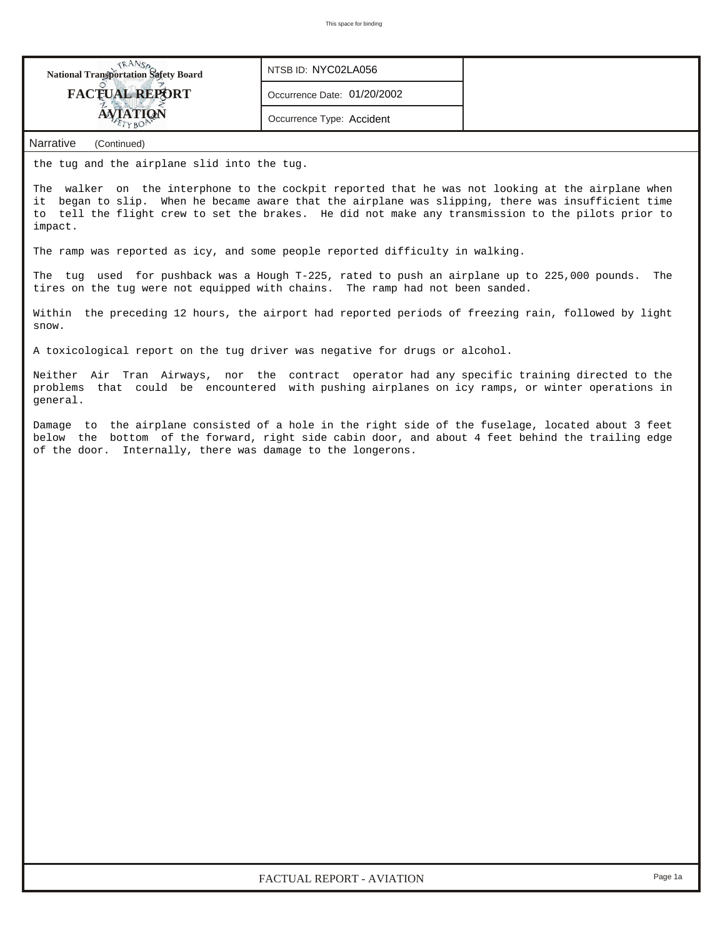| TRANSO<br><b>National Transportation Safety Board</b>                                                                                                                                                                                                                                                                    | NTSB ID: NYC02LA056         |     |  |  |  |  |  |  |
|--------------------------------------------------------------------------------------------------------------------------------------------------------------------------------------------------------------------------------------------------------------------------------------------------------------------------|-----------------------------|-----|--|--|--|--|--|--|
| <b>FACTUAL REPORT</b>                                                                                                                                                                                                                                                                                                    | Occurrence Date: 01/20/2002 |     |  |  |  |  |  |  |
| <b>AVIATION</b>                                                                                                                                                                                                                                                                                                          | Occurrence Type: Accident   |     |  |  |  |  |  |  |
| Narrative<br>(Continued)                                                                                                                                                                                                                                                                                                 |                             |     |  |  |  |  |  |  |
| the tug and the airplane slid into the tug.                                                                                                                                                                                                                                                                              |                             |     |  |  |  |  |  |  |
| The walker on the interphone to the cockpit reported that he was not looking at the airplane when<br>it began to slip. When he became aware that the airplane was slipping, there was insufficient time<br>to tell the flight crew to set the brakes. He did not make any transmission to the pilots prior to<br>impact. |                             |     |  |  |  |  |  |  |
| The ramp was reported as icy, and some people reported difficulty in walking.                                                                                                                                                                                                                                            |                             |     |  |  |  |  |  |  |
| The tug used for pushback was a Hough T-225, rated to push an airplane up to 225,000 pounds.<br>tires on the tug were not equipped with chains. The ramp had not been sanded.                                                                                                                                            |                             | The |  |  |  |  |  |  |
| Within the preceding 12 hours, the airport had reported periods of freezing rain, followed by light<br>snow.                                                                                                                                                                                                             |                             |     |  |  |  |  |  |  |
| A toxicological report on the tug driver was negative for drugs or alcohol.                                                                                                                                                                                                                                              |                             |     |  |  |  |  |  |  |
| Neither Air Tran Airways, nor the contract operator had any specific training directed to the<br>problems that could be encountered with pushing airplanes on icy ramps, or winter operations in<br>general.                                                                                                             |                             |     |  |  |  |  |  |  |
| below the bottom of the forward, right side cabin door, and about 4 feet behind the trailing edge<br>of the door. Internally, there was damage to the longerons.                                                                                                                                                         |                             |     |  |  |  |  |  |  |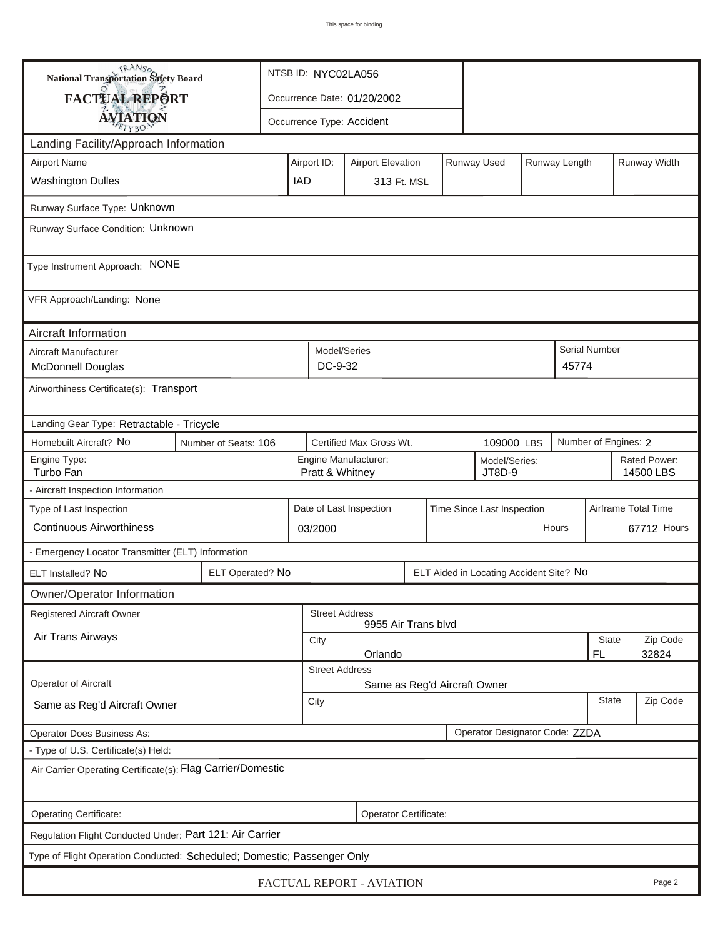| <b>National Transportation Safety Board</b>                                                             |                           |             | NTSB ID: NYC02LA056 |                                                                    |                              |            |             |             |                      |                           |                      |              |  |  |
|---------------------------------------------------------------------------------------------------------|---------------------------|-------------|---------------------|--------------------------------------------------------------------|------------------------------|------------|-------------|-------------|----------------------|---------------------------|----------------------|--------------|--|--|
| FACTUAL REPORT                                                                                          |                           |             |                     |                                                                    | Occurrence Date: 01/20/2002  |            |             |             |                      |                           |                      |              |  |  |
| <b>AVIATION</b>                                                                                         | Occurrence Type: Accident |             |                     |                                                                    |                              |            |             |             |                      |                           |                      |              |  |  |
| Landing Facility/Approach Information                                                                   |                           |             |                     |                                                                    |                              |            |             |             |                      |                           |                      |              |  |  |
| <b>Airport Name</b>                                                                                     |                           |             |                     | Airport ID:                                                        | <b>Airport Elevation</b>     |            |             | Runway Used |                      | Runway Length             |                      | Runway Width |  |  |
| <b>Washington Dulles</b>                                                                                | <b>IAD</b>                | 313 Ft. MSL |                     |                                                                    |                              |            |             |             |                      |                           |                      |              |  |  |
| Runway Surface Type: Unknown                                                                            |                           |             |                     |                                                                    |                              |            |             |             |                      |                           |                      |              |  |  |
| Runway Surface Condition: Unknown                                                                       |                           |             |                     |                                                                    |                              |            |             |             |                      |                           |                      |              |  |  |
| Type Instrument Approach: NONE                                                                          |                           |             |                     |                                                                    |                              |            |             |             |                      |                           |                      |              |  |  |
| VFR Approach/Landing: None                                                                              |                           |             |                     |                                                                    |                              |            |             |             |                      |                           |                      |              |  |  |
| Aircraft Information                                                                                    |                           |             |                     |                                                                    |                              |            |             |             |                      |                           |                      |              |  |  |
| Aircraft Manufacturer<br>McDonnell Douglas                                                              |                           |             |                     | Model/Series<br>DC-9-32                                            |                              |            |             |             |                      | 45774                     | <b>Serial Number</b> |              |  |  |
| Airworthiness Certificate(s): Transport                                                                 |                           |             |                     |                                                                    |                              |            |             |             |                      |                           |                      |              |  |  |
| Landing Gear Type: Retractable - Tricycle                                                               |                           |             |                     |                                                                    |                              |            |             |             |                      |                           |                      |              |  |  |
| Homebuilt Aircraft? No<br>Number of Seats: 106                                                          |                           |             |                     |                                                                    | Certified Max Gross Wt.      | 109000 LBS |             |             | Number of Engines: 2 |                           |                      |              |  |  |
| Engine Type:<br>Turbo Fan                                                                               |                           |             |                     | Engine Manufacturer:<br>Model/Series:<br>JT8D-9<br>Pratt & Whitney |                              |            |             |             |                      | Rated Power:<br>14500 LBS |                      |              |  |  |
| - Aircraft Inspection Information                                                                       |                           |             |                     |                                                                    |                              |            |             |             |                      |                           |                      |              |  |  |
| Airframe Total Time<br>Type of Last Inspection<br>Date of Last Inspection<br>Time Since Last Inspection |                           |             |                     |                                                                    |                              |            |             |             |                      |                           |                      |              |  |  |
| <b>Continuous Airworthiness</b><br>Hours<br>03/2000                                                     |                           |             |                     |                                                                    |                              |            | 67712 Hours |             |                      |                           |                      |              |  |  |
| - Emergency Locator Transmitter (ELT) Information                                                       |                           |             |                     |                                                                    |                              |            |             |             |                      |                           |                      |              |  |  |
| ELT Operated? No<br>ELT Aided in Locating Accident Site? No<br>ELT Installed? No                        |                           |             |                     |                                                                    |                              |            |             |             |                      |                           |                      |              |  |  |
| Owner/Operator Information                                                                              |                           |             |                     |                                                                    |                              |            |             |             |                      |                           |                      |              |  |  |
| Registered Aircraft Owner<br><b>Street Address</b><br>9955 Air Trans blvd                               |                           |             |                     |                                                                    |                              |            |             |             |                      |                           |                      |              |  |  |
| Air Trans Airways                                                                                       |                           |             |                     | City                                                               |                              |            |             |             |                      | State                     | Zip Code             |              |  |  |
|                                                                                                         |                           |             |                     | Orlando<br>FL.<br>32824<br><b>Street Address</b>                   |                              |            |             |             |                      |                           |                      |              |  |  |
| Operator of Aircraft                                                                                    |                           |             |                     |                                                                    | Same as Reg'd Aircraft Owner |            |             |             |                      |                           |                      |              |  |  |
| Same as Reg'd Aircraft Owner                                                                            |                           |             |                     |                                                                    | <b>State</b><br>City         |            |             |             |                      |                           |                      | Zip Code     |  |  |
| Operator Designator Code: ZZDA<br>Operator Does Business As:                                            |                           |             |                     |                                                                    |                              |            |             |             |                      |                           |                      |              |  |  |
| - Type of U.S. Certificate(s) Held:                                                                     |                           |             |                     |                                                                    |                              |            |             |             |                      |                           |                      |              |  |  |
| Air Carrier Operating Certificate(s): Flag Carrier/Domestic                                             |                           |             |                     |                                                                    |                              |            |             |             |                      |                           |                      |              |  |  |
| Operating Certificate:                                                                                  |                           |             |                     |                                                                    | Operator Certificate:        |            |             |             |                      |                           |                      |              |  |  |
| Regulation Flight Conducted Under: Part 121: Air Carrier                                                |                           |             |                     |                                                                    |                              |            |             |             |                      |                           |                      |              |  |  |
| Type of Flight Operation Conducted: Scheduled; Domestic; Passenger Only                                 |                           |             |                     |                                                                    |                              |            |             |             |                      |                           |                      |              |  |  |
| FACTUAL REPORT - AVIATION<br>Page 2                                                                     |                           |             |                     |                                                                    |                              |            |             |             |                      |                           |                      |              |  |  |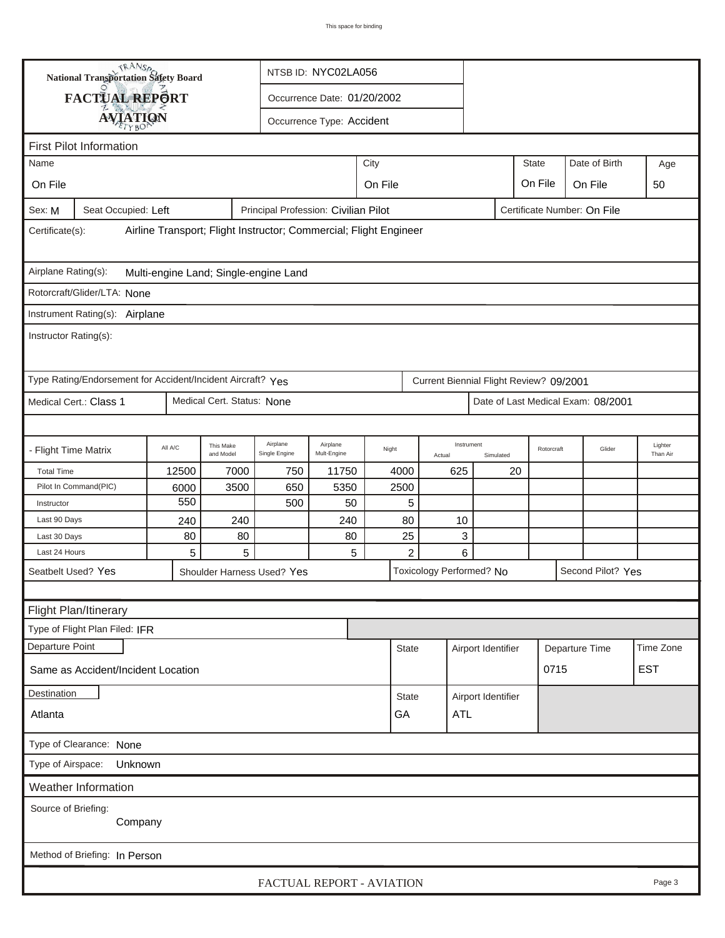|                                                                                                        | <b>National Transportation Safety Board</b> |         |                        |                            | NTSB ID: NYC02LA056         |             |                |        |                          |              |                |                   |                     |
|--------------------------------------------------------------------------------------------------------|---------------------------------------------|---------|------------------------|----------------------------|-----------------------------|-------------|----------------|--------|--------------------------|--------------|----------------|-------------------|---------------------|
|                                                                                                        | FACTUAL REPORT                              |         |                        |                            | Occurrence Date: 01/20/2002 |             |                |        |                          |              |                |                   |                     |
|                                                                                                        |                                             |         |                        |                            |                             |             |                |        |                          |              |                |                   |                     |
| <b>AVIATION</b><br>Occurrence Type: Accident                                                           |                                             |         |                        |                            |                             |             |                |        |                          |              |                |                   |                     |
|                                                                                                        | <b>First Pilot Information</b>              |         |                        |                            |                             |             |                |        |                          |              |                |                   |                     |
| City<br>Name                                                                                           |                                             |         |                        |                            |                             |             |                |        |                          | <b>State</b> |                | Date of Birth     | Age                 |
| On File                                                                                                | On File<br>On File<br>On File<br>50         |         |                        |                            |                             |             |                |        |                          |              |                |                   |                     |
| Seat Occupied: Left<br>Principal Profession: Civilian Pilot<br>Certificate Number: On File<br>Sex: M   |                                             |         |                        |                            |                             |             |                |        |                          |              |                |                   |                     |
| Airline Transport; Flight Instructor; Commercial; Flight Engineer<br>Certificate(s):                   |                                             |         |                        |                            |                             |             |                |        |                          |              |                |                   |                     |
| Airplane Rating(s):<br>Multi-engine Land; Single-engine Land                                           |                                             |         |                        |                            |                             |             |                |        |                          |              |                |                   |                     |
| Rotorcraft/Glider/LTA: None                                                                            |                                             |         |                        |                            |                             |             |                |        |                          |              |                |                   |                     |
| Instrument Rating(s): Airplane                                                                         |                                             |         |                        |                            |                             |             |                |        |                          |              |                |                   |                     |
| Instructor Rating(s):                                                                                  |                                             |         |                        |                            |                             |             |                |        |                          |              |                |                   |                     |
| Type Rating/Endorsement for Accident/Incident Aircraft? Yes<br>Current Biennial Flight Review? 09/2001 |                                             |         |                        |                            |                             |             |                |        |                          |              |                |                   |                     |
| Medical Cert. Status: None<br>Medical Cert.: Class 1<br>Date of Last Medical Exam: 08/2001             |                                             |         |                        |                            |                             |             |                |        |                          |              |                |                   |                     |
|                                                                                                        |                                             |         |                        |                            |                             |             |                |        |                          |              |                |                   |                     |
| - Flight Time Matrix                                                                                   |                                             | All A/C | This Make<br>and Model | Airplane<br>Single Engine  | Airplane<br>Mult-Engine     | Night       |                | Actual | Instrument<br>Simulated  |              | Rotorcraft     | Glider            | Lighter<br>Than Air |
| <b>Total Time</b>                                                                                      |                                             | 12500   | 7000                   | 750                        | 11750                       | 4000<br>625 |                |        | 20                       |              |                |                   |                     |
|                                                                                                        | Pilot In Command(PIC)                       | 6000    | 3500                   | 650                        | 5350                        | 2500        |                |        |                          |              |                |                   |                     |
| Instructor                                                                                             | 550<br>5<br>500<br>50                       |         |                        |                            |                             |             |                |        |                          |              |                |                   |                     |
| Last 90 Days                                                                                           |                                             | 240     | 240                    |                            | 240                         |             | 80             | 10     |                          |              |                |                   |                     |
| Last 30 Days                                                                                           |                                             | 80      | 80                     |                            | 80                          |             | 25             | 3      |                          |              |                |                   |                     |
| Last 24 Hours                                                                                          |                                             | 5       | 5                      |                            | 5                           |             | $\overline{c}$ | 6      |                          |              |                |                   |                     |
|                                                                                                        | Seatbelt Used? Yes                          |         |                        | Shoulder Harness Used? Yes |                             |             |                |        | Toxicology Performed? No |              |                | Second Pilot? Yes |                     |
|                                                                                                        |                                             |         |                        |                            |                             |             |                |        |                          |              |                |                   |                     |
|                                                                                                        | Flight Plan/Itinerary                       |         |                        |                            |                             |             |                |        |                          |              |                |                   |                     |
|                                                                                                        | Type of Flight Plan Filed: IFR              |         |                        |                            |                             |             |                |        |                          |              |                |                   |                     |
| Departure Point                                                                                        |                                             |         |                        |                            |                             |             | <b>State</b>   |        | Airport Identifier       |              | Departure Time |                   | Time Zone           |
| 0715<br><b>EST</b><br>Same as Accident/Incident Location                                               |                                             |         |                        |                            |                             |             |                |        |                          |              |                |                   |                     |
| Destination<br><b>State</b>                                                                            |                                             |         |                        |                            |                             |             |                |        | Airport Identifier       |              |                |                   |                     |
| GA<br>ATL<br>Atlanta                                                                                   |                                             |         |                        |                            |                             |             |                |        |                          |              |                |                   |                     |
| Type of Clearance: None                                                                                |                                             |         |                        |                            |                             |             |                |        |                          |              |                |                   |                     |
| Type of Airspace:<br>Unknown                                                                           |                                             |         |                        |                            |                             |             |                |        |                          |              |                |                   |                     |
|                                                                                                        | Weather Information                         |         |                        |                            |                             |             |                |        |                          |              |                |                   |                     |
| Source of Briefing:                                                                                    | Company                                     |         |                        |                            |                             |             |                |        |                          |              |                |                   |                     |
|                                                                                                        | Method of Briefing: In Person               |         |                        |                            |                             |             |                |        |                          |              |                |                   |                     |
|                                                                                                        |                                             |         |                        | FACTUAL REPORT - AVIATION  |                             |             |                |        |                          |              |                |                   | Page 3              |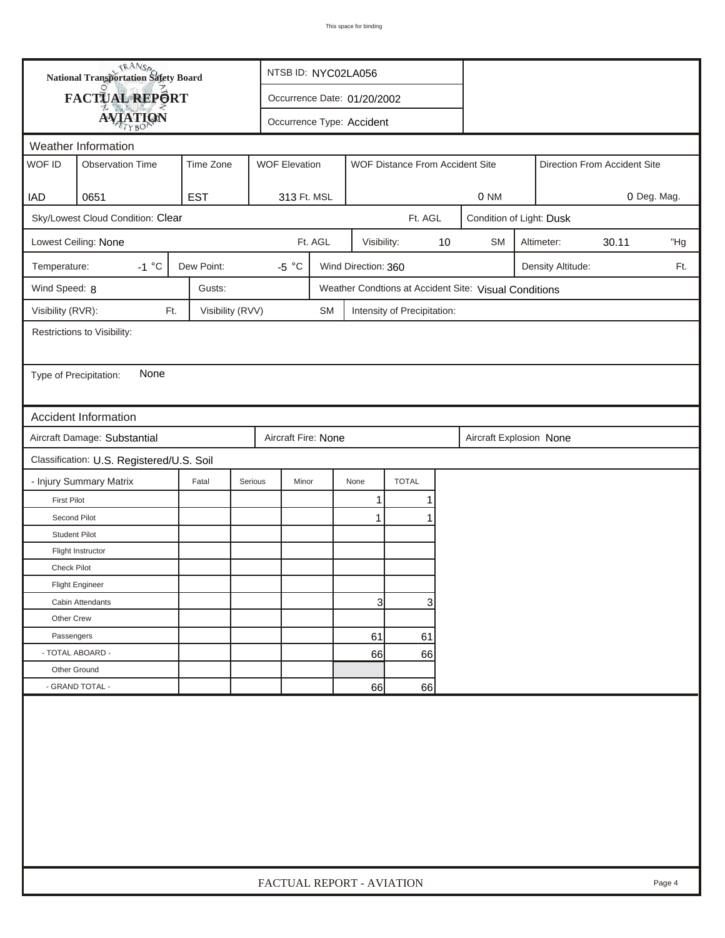| FACTUAL REPORT<br>Occurrence Date: 01/20/2002<br><b>AVIATION</b><br>Occurrence Type: Accident<br>Weather Information<br>WOF ID<br><b>Observation Time</b><br>Time Zone<br><b>WOF Elevation</b><br>WOF Distance From Accident Site<br>Direction From Accident Site<br><b>EST</b><br>0651<br>313 Ft. MSL<br>0 NM<br>0 Deg. Mag.<br>IAD<br>Sky/Lowest Cloud Condition: Clear<br>Ft. AGL<br>Condition of Light: Dusk<br>Ft. AGL<br>30.11<br>Lowest Ceiling: None<br>Visibility:<br>10<br><b>SM</b><br>Altimeter:<br>"Hg<br>$-1 °C$<br>Dew Point:<br>-5 $^{\circ}$ C<br>Wind Direction: 360<br>Temperature:<br>Density Altitude:<br>Ft.<br>Wind Speed: 8<br>Gusts:<br>Weather Condtions at Accident Site: Visual Conditions<br>Visibility (RVR):<br>Visibility (RVV)<br>Ft.<br><b>SM</b><br>Intensity of Precipitation:<br>Restrictions to Visibility:<br>None<br>Type of Precipitation:<br><b>Accident Information</b><br>Aircraft Damage: Substantial<br>Aircraft Fire: None<br>Aircraft Explosion None<br>Classification: U.S. Registered/U.S. Soil<br>- Injury Summary Matrix<br><b>TOTAL</b><br>Fatal<br>Serious<br>Minor<br>None<br>1<br><b>First Pilot</b><br>1<br>Second Pilot<br>1<br>1<br><b>Student Pilot</b><br>Flight Instructor<br><b>Check Pilot</b><br><b>Flight Engineer</b><br>3<br>3<br>Cabin Attendants<br>Other Crew<br>Passengers<br>61<br>61<br>- TOTAL ABOARD -<br>66<br>66<br>Other Ground |  | <b>National Transportation Safety Board</b> |  | NTSB ID: NYC02LA056       |  |    |    |  |  |  |  |  |        |
|----------------------------------------------------------------------------------------------------------------------------------------------------------------------------------------------------------------------------------------------------------------------------------------------------------------------------------------------------------------------------------------------------------------------------------------------------------------------------------------------------------------------------------------------------------------------------------------------------------------------------------------------------------------------------------------------------------------------------------------------------------------------------------------------------------------------------------------------------------------------------------------------------------------------------------------------------------------------------------------------------------------------------------------------------------------------------------------------------------------------------------------------------------------------------------------------------------------------------------------------------------------------------------------------------------------------------------------------------------------------------------------------------------------|--|---------------------------------------------|--|---------------------------|--|----|----|--|--|--|--|--|--------|
|                                                                                                                                                                                                                                                                                                                                                                                                                                                                                                                                                                                                                                                                                                                                                                                                                                                                                                                                                                                                                                                                                                                                                                                                                                                                                                                                                                                                                |  |                                             |  |                           |  |    |    |  |  |  |  |  |        |
|                                                                                                                                                                                                                                                                                                                                                                                                                                                                                                                                                                                                                                                                                                                                                                                                                                                                                                                                                                                                                                                                                                                                                                                                                                                                                                                                                                                                                |  |                                             |  |                           |  |    |    |  |  |  |  |  |        |
|                                                                                                                                                                                                                                                                                                                                                                                                                                                                                                                                                                                                                                                                                                                                                                                                                                                                                                                                                                                                                                                                                                                                                                                                                                                                                                                                                                                                                |  |                                             |  |                           |  |    |    |  |  |  |  |  |        |
|                                                                                                                                                                                                                                                                                                                                                                                                                                                                                                                                                                                                                                                                                                                                                                                                                                                                                                                                                                                                                                                                                                                                                                                                                                                                                                                                                                                                                |  |                                             |  |                           |  |    |    |  |  |  |  |  |        |
|                                                                                                                                                                                                                                                                                                                                                                                                                                                                                                                                                                                                                                                                                                                                                                                                                                                                                                                                                                                                                                                                                                                                                                                                                                                                                                                                                                                                                |  |                                             |  |                           |  |    |    |  |  |  |  |  |        |
|                                                                                                                                                                                                                                                                                                                                                                                                                                                                                                                                                                                                                                                                                                                                                                                                                                                                                                                                                                                                                                                                                                                                                                                                                                                                                                                                                                                                                |  |                                             |  |                           |  |    |    |  |  |  |  |  |        |
|                                                                                                                                                                                                                                                                                                                                                                                                                                                                                                                                                                                                                                                                                                                                                                                                                                                                                                                                                                                                                                                                                                                                                                                                                                                                                                                                                                                                                |  |                                             |  |                           |  |    |    |  |  |  |  |  |        |
|                                                                                                                                                                                                                                                                                                                                                                                                                                                                                                                                                                                                                                                                                                                                                                                                                                                                                                                                                                                                                                                                                                                                                                                                                                                                                                                                                                                                                |  |                                             |  |                           |  |    |    |  |  |  |  |  |        |
|                                                                                                                                                                                                                                                                                                                                                                                                                                                                                                                                                                                                                                                                                                                                                                                                                                                                                                                                                                                                                                                                                                                                                                                                                                                                                                                                                                                                                |  |                                             |  |                           |  |    |    |  |  |  |  |  |        |
|                                                                                                                                                                                                                                                                                                                                                                                                                                                                                                                                                                                                                                                                                                                                                                                                                                                                                                                                                                                                                                                                                                                                                                                                                                                                                                                                                                                                                |  |                                             |  |                           |  |    |    |  |  |  |  |  |        |
|                                                                                                                                                                                                                                                                                                                                                                                                                                                                                                                                                                                                                                                                                                                                                                                                                                                                                                                                                                                                                                                                                                                                                                                                                                                                                                                                                                                                                |  |                                             |  |                           |  |    |    |  |  |  |  |  |        |
|                                                                                                                                                                                                                                                                                                                                                                                                                                                                                                                                                                                                                                                                                                                                                                                                                                                                                                                                                                                                                                                                                                                                                                                                                                                                                                                                                                                                                |  |                                             |  |                           |  |    |    |  |  |  |  |  |        |
|                                                                                                                                                                                                                                                                                                                                                                                                                                                                                                                                                                                                                                                                                                                                                                                                                                                                                                                                                                                                                                                                                                                                                                                                                                                                                                                                                                                                                |  |                                             |  |                           |  |    |    |  |  |  |  |  |        |
|                                                                                                                                                                                                                                                                                                                                                                                                                                                                                                                                                                                                                                                                                                                                                                                                                                                                                                                                                                                                                                                                                                                                                                                                                                                                                                                                                                                                                |  |                                             |  |                           |  |    |    |  |  |  |  |  |        |
|                                                                                                                                                                                                                                                                                                                                                                                                                                                                                                                                                                                                                                                                                                                                                                                                                                                                                                                                                                                                                                                                                                                                                                                                                                                                                                                                                                                                                |  |                                             |  |                           |  |    |    |  |  |  |  |  |        |
|                                                                                                                                                                                                                                                                                                                                                                                                                                                                                                                                                                                                                                                                                                                                                                                                                                                                                                                                                                                                                                                                                                                                                                                                                                                                                                                                                                                                                |  |                                             |  |                           |  |    |    |  |  |  |  |  |        |
|                                                                                                                                                                                                                                                                                                                                                                                                                                                                                                                                                                                                                                                                                                                                                                                                                                                                                                                                                                                                                                                                                                                                                                                                                                                                                                                                                                                                                |  |                                             |  |                           |  |    |    |  |  |  |  |  |        |
|                                                                                                                                                                                                                                                                                                                                                                                                                                                                                                                                                                                                                                                                                                                                                                                                                                                                                                                                                                                                                                                                                                                                                                                                                                                                                                                                                                                                                |  |                                             |  |                           |  |    |    |  |  |  |  |  |        |
|                                                                                                                                                                                                                                                                                                                                                                                                                                                                                                                                                                                                                                                                                                                                                                                                                                                                                                                                                                                                                                                                                                                                                                                                                                                                                                                                                                                                                |  |                                             |  |                           |  |    |    |  |  |  |  |  |        |
|                                                                                                                                                                                                                                                                                                                                                                                                                                                                                                                                                                                                                                                                                                                                                                                                                                                                                                                                                                                                                                                                                                                                                                                                                                                                                                                                                                                                                |  |                                             |  |                           |  |    |    |  |  |  |  |  |        |
|                                                                                                                                                                                                                                                                                                                                                                                                                                                                                                                                                                                                                                                                                                                                                                                                                                                                                                                                                                                                                                                                                                                                                                                                                                                                                                                                                                                                                |  |                                             |  |                           |  |    |    |  |  |  |  |  |        |
|                                                                                                                                                                                                                                                                                                                                                                                                                                                                                                                                                                                                                                                                                                                                                                                                                                                                                                                                                                                                                                                                                                                                                                                                                                                                                                                                                                                                                |  |                                             |  |                           |  |    |    |  |  |  |  |  |        |
|                                                                                                                                                                                                                                                                                                                                                                                                                                                                                                                                                                                                                                                                                                                                                                                                                                                                                                                                                                                                                                                                                                                                                                                                                                                                                                                                                                                                                |  |                                             |  |                           |  |    |    |  |  |  |  |  |        |
|                                                                                                                                                                                                                                                                                                                                                                                                                                                                                                                                                                                                                                                                                                                                                                                                                                                                                                                                                                                                                                                                                                                                                                                                                                                                                                                                                                                                                |  |                                             |  |                           |  |    |    |  |  |  |  |  |        |
|                                                                                                                                                                                                                                                                                                                                                                                                                                                                                                                                                                                                                                                                                                                                                                                                                                                                                                                                                                                                                                                                                                                                                                                                                                                                                                                                                                                                                |  |                                             |  |                           |  |    |    |  |  |  |  |  |        |
|                                                                                                                                                                                                                                                                                                                                                                                                                                                                                                                                                                                                                                                                                                                                                                                                                                                                                                                                                                                                                                                                                                                                                                                                                                                                                                                                                                                                                |  |                                             |  |                           |  |    |    |  |  |  |  |  |        |
|                                                                                                                                                                                                                                                                                                                                                                                                                                                                                                                                                                                                                                                                                                                                                                                                                                                                                                                                                                                                                                                                                                                                                                                                                                                                                                                                                                                                                |  |                                             |  |                           |  |    |    |  |  |  |  |  |        |
|                                                                                                                                                                                                                                                                                                                                                                                                                                                                                                                                                                                                                                                                                                                                                                                                                                                                                                                                                                                                                                                                                                                                                                                                                                                                                                                                                                                                                |  |                                             |  |                           |  |    |    |  |  |  |  |  |        |
|                                                                                                                                                                                                                                                                                                                                                                                                                                                                                                                                                                                                                                                                                                                                                                                                                                                                                                                                                                                                                                                                                                                                                                                                                                                                                                                                                                                                                |  |                                             |  |                           |  |    |    |  |  |  |  |  |        |
|                                                                                                                                                                                                                                                                                                                                                                                                                                                                                                                                                                                                                                                                                                                                                                                                                                                                                                                                                                                                                                                                                                                                                                                                                                                                                                                                                                                                                |  |                                             |  |                           |  |    |    |  |  |  |  |  |        |
| - GRAND TOTAL -                                                                                                                                                                                                                                                                                                                                                                                                                                                                                                                                                                                                                                                                                                                                                                                                                                                                                                                                                                                                                                                                                                                                                                                                                                                                                                                                                                                                |  |                                             |  |                           |  | 66 | 66 |  |  |  |  |  |        |
|                                                                                                                                                                                                                                                                                                                                                                                                                                                                                                                                                                                                                                                                                                                                                                                                                                                                                                                                                                                                                                                                                                                                                                                                                                                                                                                                                                                                                |  |                                             |  | FACTUAL REPORT - AVIATION |  |    |    |  |  |  |  |  | Page 4 |